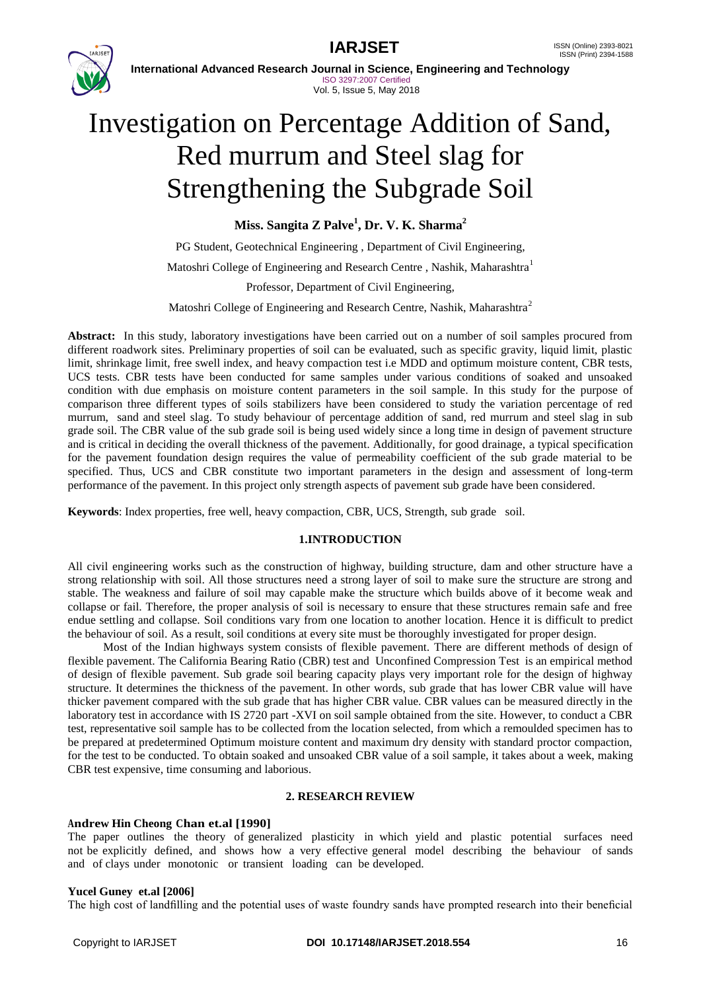**IAR.ISET** ISSN (Online) 2393-8021



**International Advanced Research Journal in Science, Engineering and Technology** ISO 3297:2007 Certified Vol. 5, Issue 5, May 2018

# Investigation on Percentage Addition of Sand, Red murrum and Steel slag for Strengthening the Subgrade Soil

**Miss. Sangita Z Palve<sup>1</sup> , Dr. V. K. Sharma<sup>2</sup>**

PG Student, Geotechnical Engineering , Department of Civil Engineering, Matoshri College of Engineering and Research Centre, Nashik, Maharashtra<sup>1</sup> Professor, Department of Civil Engineering, Matoshri College of Engineering and Research Centre, Nashik, Maharashtra<sup>2</sup>

**Abstract:** In this study, laboratory investigations have been carried out on a number of soil samples procured from different roadwork sites. Preliminary properties of soil can be evaluated, such as specific gravity, liquid limit, plastic limit, shrinkage limit, free swell index, and heavy compaction test i.e MDD and optimum moisture content, CBR tests, UCS tests. CBR tests have been conducted for same samples under various conditions of soaked and unsoaked condition with due emphasis on moisture content parameters in the soil sample. In this study for the purpose of comparison three different types of soils stabilizers have been considered to study the variation percentage of red murrum, sand and steel slag. To study behaviour of percentage addition of sand, red murrum and steel slag in sub grade soil. The CBR value of the sub grade soil is being used widely since a long time in design of pavement structure and is critical in deciding the overall thickness of the pavement. Additionally, for good drainage, a typical specification for the pavement foundation design requires the value of permeability coefficient of the sub grade material to be specified. Thus, UCS and CBR constitute two important parameters in the design and assessment of long-term performance of the pavement. In this project only strength aspects of pavement sub grade have been considered.

**Keywords**: Index properties, free well, heavy compaction, CBR, UCS, Strength, sub grade soil.

### **1.INTRODUCTION**

All civil engineering works such as the construction of highway, building structure, dam and other structure have a strong relationship with soil. All those structures need a strong layer of soil to make sure the structure are strong and stable. The weakness and failure of soil may capable make the structure which builds above of it become weak and collapse or fail. Therefore, the proper analysis of soil is necessary to ensure that these structures remain safe and free endue settling and collapse. Soil conditions vary from one location to another location. Hence it is difficult to predict the behaviour of soil. As a result, soil conditions at every site must be thoroughly investigated for proper design.

 Most of the Indian highways system consists of flexible pavement. There are different methods of design of flexible pavement. The California Bearing Ratio (CBR) test and Unconfined Compression Test is an empirical method of design of flexible pavement. Sub grade soil bearing capacity plays very important role for the design of highway structure. It determines the thickness of the pavement. In other words, sub grade that has lower CBR value will have thicker pavement compared with the sub grade that has higher CBR value. CBR values can be measured directly in the laboratory test in accordance with IS 2720 part -XVI on soil sample obtained from the site. However, to conduct a CBR test, representative soil sample has to be collected from the location selected, from which a remoulded specimen has to be prepared at predetermined Optimum moisture content and maximum dry density with standard proctor compaction, for the test to be conducted. To obtain soaked and unsoaked CBR value of a soil sample, it takes about a week, making CBR test expensive, time consuming and laborious.

### **2. RESEARCH REVIEW**

### **Andrew Hin Cheong Chan et.al [1990]**

The paper outlines the theory of generalized plasticity in which yield and plastic potential surfaces need not be explicitly defined, and shows how a very effective general model describing the behaviour of sands and of clays under monotonic or transient loading can be developed.

### **Yucel Guney et.al [2006]**

The high cost of landfilling and the potential uses of waste foundry sands have prompted research into their beneficial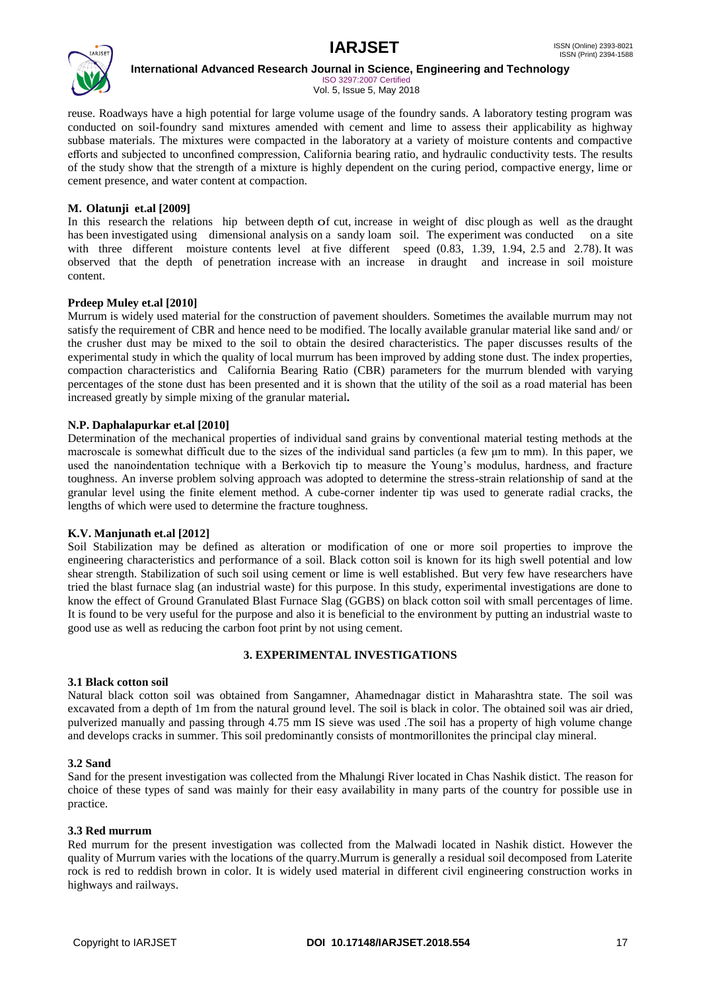

ISO 3297:2007 Certified Vol. 5, Issue 5, May 2018

reuse. Roadways have a high potential for large volume usage of the foundry sands. A laboratory testing program was conducted on soil-foundry sand mixtures amended with cement and lime to assess their applicability as highway subbase materials. The mixtures were compacted in the laboratory at a variety of moisture contents and compactive efforts and subjected to unconfined compression, California bearing ratio, and hydraulic conductivity tests. The results of the study show that the strength of a mixture is highly dependent on the curing period, compactive energy, lime or cement presence, and water content at compaction.

### **M. Olatunji et.al [2009]**

In this research the relations hip between depth of cut, increase in weight of disc plough as well as the draught has been investigated using dimensional analysis on a sandy loam soil. The experiment was conducted on a site with three different moisture contents level at five different speed (0.83, 1.39, 1.94, 2.5 and 2.78). It was observed that the depth of penetration increase with an increase in draught and increase in soil moisture content.

### **Prdeep Muley et.al [2010]**

Murrum is widely used material for the construction of pavement shoulders. Sometimes the available murrum may not satisfy the requirement of CBR and hence need to be modified. The locally available granular material like sand and/ or the crusher dust may be mixed to the soil to obtain the desired characteristics. The paper discusses results of the experimental study in which the quality of local murrum has been improved by adding stone dust. The index properties, compaction characteristics and California Bearing Ratio (CBR) parameters for the murrum blended with varying percentages of the stone dust has been presented and it is shown that the utility of the soil as a road material has been increased greatly by simple mixing of the granular material**.**

### **N.P. Daphalapurkar et.al [2010]**

Determination of the mechanical properties of individual sand grains by conventional material testing methods at the macroscale is somewhat difficult due to the sizes of the individual sand particles (a few μm to mm). In this paper, we used the nanoindentation technique with a Berkovich tip to measure the Young's modulus, hardness, and fracture toughness. An inverse problem solving approach was adopted to determine the stress-strain relationship of sand at the granular level using the finite element method. A cube-corner indenter tip was used to generate radial cracks, the lengths of which were used to determine the fracture toughness.

### **K.V. Manjunath et.al [2012]**

Soil Stabilization may be defined as alteration or modification of one or more soil properties to improve the engineering characteristics and performance of a soil. Black cotton soil is known for its high swell potential and low shear strength. Stabilization of such soil using cement or lime is well established. But very few have researchers have tried the blast furnace slag (an industrial waste) for this purpose. In this study, experimental investigations are done to know the effect of Ground Granulated Blast Furnace Slag (GGBS) on black cotton soil with small percentages of lime. It is found to be very useful for the purpose and also it is beneficial to the environment by putting an industrial waste to good use as well as reducing the carbon foot print by not using cement.

### **3. EXPERIMENTAL INVESTIGATIONS**

### **3.1 Black cotton soil**

Natural black cotton soil was obtained from Sangamner, Ahamednagar distict in Maharashtra state. The soil was excavated from a depth of 1m from the natural ground level. The soil is black in color. The obtained soil was air dried, pulverized manually and passing through 4.75 mm IS sieve was used .The soil has a property of high volume change and develops cracks in summer. This soil predominantly consists of montmorillonites the principal clay mineral.

### **3.2 Sand**

Sand for the present investigation was collected from the Mhalungi River located in Chas Nashik distict. The reason for choice of these types of sand was mainly for their easy availability in many parts of the country for possible use in practice.

### **3.3 Red murrum**

Red murrum for the present investigation was collected from the Malwadi located in Nashik distict. However the quality of Murrum varies with the locations of the quarry.Murrum is generally a residual soil decomposed from Laterite rock is red to reddish brown in color. It is widely used material in different civil engineering construction works in highways and railways.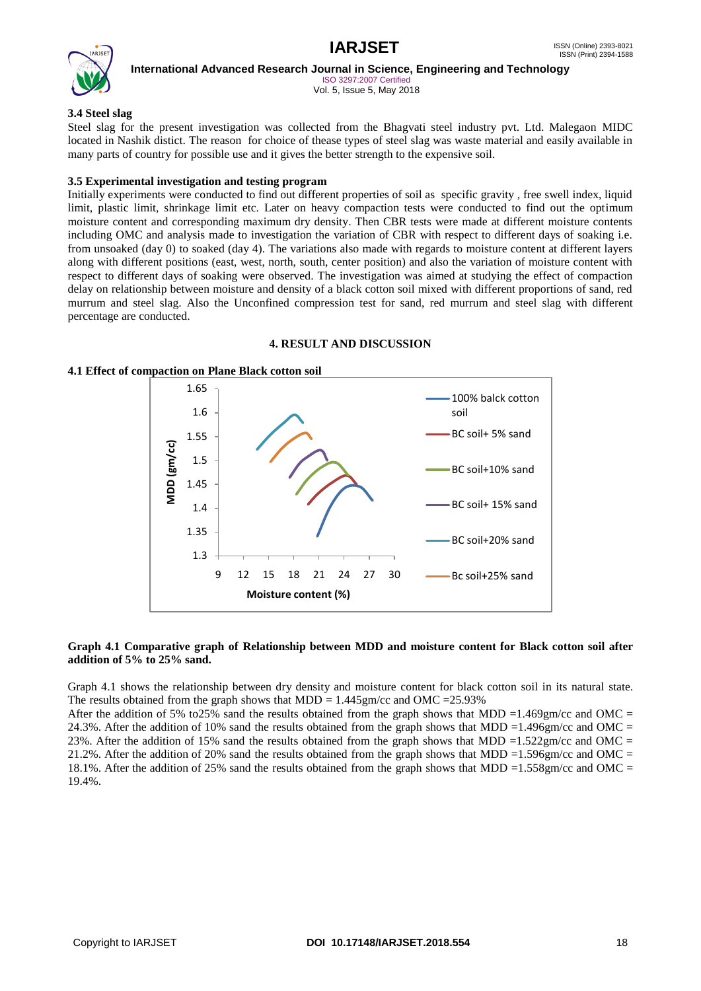

ISO 3297:2007 Certified Vol. 5, Issue 5, May 2018

### **3.4 Steel slag**

Steel slag for the present investigation was collected from the Bhagvati steel industry pvt. Ltd. Malegaon MIDC located in Nashik distict. The reason for choice of thease types of steel slag was waste material and easily available in many parts of country for possible use and it gives the better strength to the expensive soil.

### **3.5 Experimental investigation and testing program**

Initially experiments were conducted to find out different properties of soil as specific gravity , free swell index, liquid limit, plastic limit, shrinkage limit etc. Later on heavy compaction tests were conducted to find out the optimum moisture content and corresponding maximum dry density. Then CBR tests were made at different moisture contents including OMC and analysis made to investigation the variation of CBR with respect to different days of soaking i.e. from unsoaked (day 0) to soaked (day 4). The variations also made with regards to moisture content at different layers along with different positions (east, west, north, south, center position) and also the variation of moisture content with respect to different days of soaking were observed. The investigation was aimed at studying the effect of compaction delay on relationship between moisture and density of a black cotton soil mixed with different proportions of sand, red murrum and steel slag. Also the Unconfined compression test for sand, red murrum and steel slag with different percentage are conducted.

### **4. RESULT AND DISCUSSION**

### **4.1 Effect of compaction on Plane Black cotton soil**



### **Graph 4.1 Comparative graph of Relationship between MDD and moisture content for Black cotton soil after addition of 5% to 25% sand.**

Graph 4.1 shows the relationship between dry density and moisture content for black cotton soil in its natural state. The results obtained from the graph shows that MDD =  $1.445$ gm/cc and OMC = 25.93%

After the addition of 5% to 25% sand the results obtained from the graph shows that MDD =1.469gm/cc and OMC = 24.3%. After the addition of 10% sand the results obtained from the graph shows that MDD =1.496gm/cc and OMC = 23%. After the addition of 15% sand the results obtained from the graph shows that MDD =1.522gm/cc and OMC = 21.2%. After the addition of 20% sand the results obtained from the graph shows that MDD =1.596gm/cc and OMC = 18.1%. After the addition of 25% sand the results obtained from the graph shows that MDD =1.558gm/cc and OMC = 19.4%.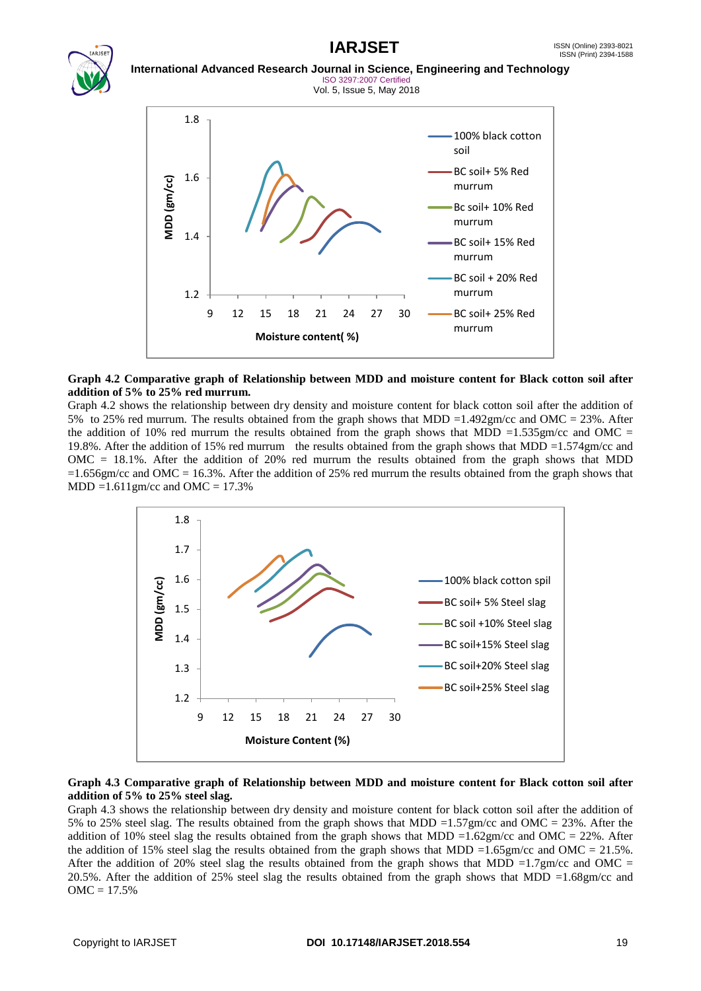# **IARJSET** ISSN (Online) 2393-8021



### **International Advanced Research Journal in Science, Engineering and Technology** ISO 3297:2007 Certified Vol. 5, Issue 5, May 2018



### **Graph 4.2 Comparative graph of Relationship between MDD and moisture content for Black cotton soil after addition of 5% to 25% red murrum.**

Graph 4.2 shows the relationship between dry density and moisture content for black cotton soil after the addition of 5% to 25% red murrum. The results obtained from the graph shows that MDD =1.492gm/cc and OMC = 23%. After the addition of 10% red murrum the results obtained from the graph shows that MDD =1.535gm/cc and OMC = 19.8%. After the addition of 15% red murrum the results obtained from the graph shows that MDD =1.574gm/cc and OMC = 18.1%. After the addition of 20% red murrum the results obtained from the graph shows that MDD  $=1.656$ gm/cc and OMC = 16.3%. After the addition of 25% red murrum the results obtained from the graph shows that  $MDD = 1.611$ gm/cc and  $OMC = 17.3%$ 



### **Graph 4.3 Comparative graph of Relationship between MDD and moisture content for Black cotton soil after addition of 5% to 25% steel slag.**

Graph 4.3 shows the relationship between dry density and moisture content for black cotton soil after the addition of 5% to 25% steel slag. The results obtained from the graph shows that MDD =1.57gm/cc and OMC = 23%. After the addition of 10% steel slag the results obtained from the graph shows that MDD =1.62gm/cc and OMC = 22%. After the addition of 15% steel slag the results obtained from the graph shows that MDD =1.65gm/cc and OMC = 21.5%. After the addition of 20% steel slag the results obtained from the graph shows that MDD =1.7gm/cc and OMC = 20.5%. After the addition of 25% steel slag the results obtained from the graph shows that MDD =1.68gm/cc and  $OMC = 17.5%$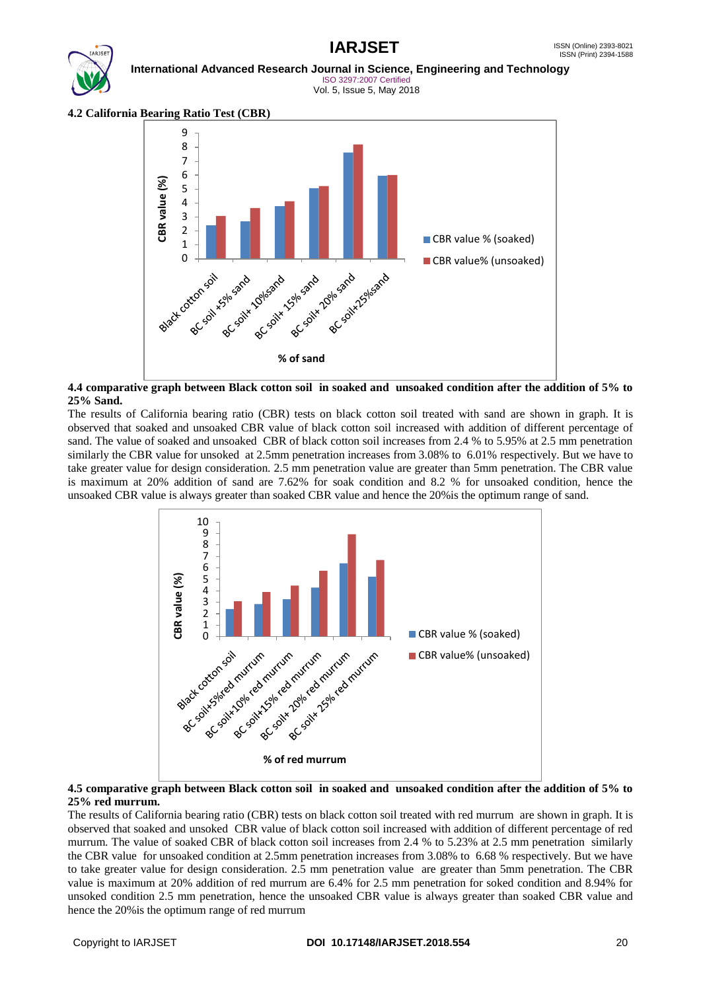## ISSN (Print) 2394-1588





**International Advanced Research Journal in Science, Engineering and Technology** ISO 3297:2007 Certified Vol. 5, Issue 5, May 2018

**4.2 California Bearing Ratio Test (CBR)**



### **4.4 comparative graph between Black cotton soil in soaked and unsoaked condition after the addition of 5% to 25% Sand.**

The results of California bearing ratio (CBR) tests on black cotton soil treated with sand are shown in graph. It is observed that soaked and unsoaked CBR value of black cotton soil increased with addition of different percentage of sand. The value of soaked and unsoaked CBR of black cotton soil increases from 2.4 % to 5.95% at 2.5 mm penetration similarly the CBR value for unsoked at 2.5mm penetration increases from 3.08% to 6.01% respectively. But we have to take greater value for design consideration. 2.5 mm penetration value are greater than 5mm penetration. The CBR value is maximum at 20% addition of sand are 7.62% for soak condition and 8.2 % for unsoaked condition, hence the unsoaked CBR value is always greater than soaked CBR value and hence the 20%is the optimum range of sand.



### **4.5 comparative graph between Black cotton soil in soaked and unsoaked condition after the addition of 5% to 25% red murrum.**

The results of California bearing ratio (CBR) tests on black cotton soil treated with red murrum are shown in graph. It is observed that soaked and unsoked CBR value of black cotton soil increased with addition of different percentage of red murrum. The value of soaked CBR of black cotton soil increases from 2.4 % to 5.23% at 2.5 mm penetration similarly the CBR value for unsoaked condition at 2.5mm penetration increases from 3.08% to 6.68 % respectively. But we have to take greater value for design consideration. 2.5 mm penetration value are greater than 5mm penetration. The CBR value is maximum at 20% addition of red murrum are 6.4% for 2.5 mm penetration for soked condition and 8.94% for unsoked condition 2.5 mm penetration, hence the unsoaked CBR value is always greater than soaked CBR value and hence the 20%is the optimum range of red murrum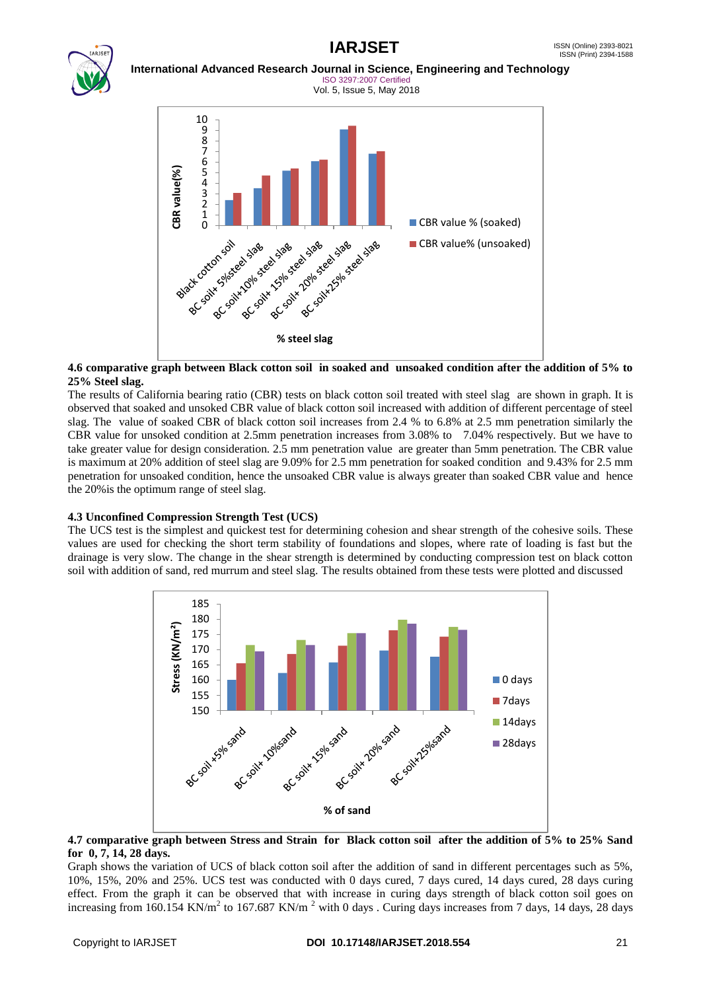

### **International Advanced Research Journal in Science, Engineering and Technology** ISO 3297:2007 Certified



### **4.6 comparative graph between Black cotton soil in soaked and unsoaked condition after the addition of 5% to 25% Steel slag.**

The results of California bearing ratio (CBR) tests on black cotton soil treated with steel slag are shown in graph. It is observed that soaked and unsoked CBR value of black cotton soil increased with addition of different percentage of steel slag. The value of soaked CBR of black cotton soil increases from 2.4 % to 6.8% at 2.5 mm penetration similarly the CBR value for unsoked condition at 2.5mm penetration increases from 3.08% to 7.04% respectively. But we have to take greater value for design consideration. 2.5 mm penetration value are greater than 5mm penetration. The CBR value is maximum at 20% addition of steel slag are 9.09% for 2.5 mm penetration for soaked condition and 9.43% for 2.5 mm penetration for unsoaked condition, hence the unsoaked CBR value is always greater than soaked CBR value and hence the 20%is the optimum range of steel slag.

### **4.3 Unconfined Compression Strength Test (UCS)**

The UCS test is the simplest and quickest test for determining cohesion and shear strength of the cohesive soils. These values are used for checking the short term stability of foundations and slopes, where rate of loading is fast but the drainage is very slow. The change in the shear strength is determined by conducting compression test on black cotton soil with addition of sand, red murrum and steel slag. The results obtained from these tests were plotted and discussed



### **4.7 comparative graph between Stress and Strain for Black cotton soil after the addition of 5% to 25% Sand for 0, 7, 14, 28 days.**

Graph shows the variation of UCS of black cotton soil after the addition of sand in different percentages such as 5%, 10%, 15%, 20% and 25%. UCS test was conducted with 0 days cured, 7 days cured, 14 days cured, 28 days curing effect. From the graph it can be observed that with increase in curing days strength of black cotton soil goes on increasing from 160.154 KN/m<sup>2</sup> to 167.687 KN/m<sup>2</sup> with 0 days . Curing days increases from 7 days, 14 days, 28 days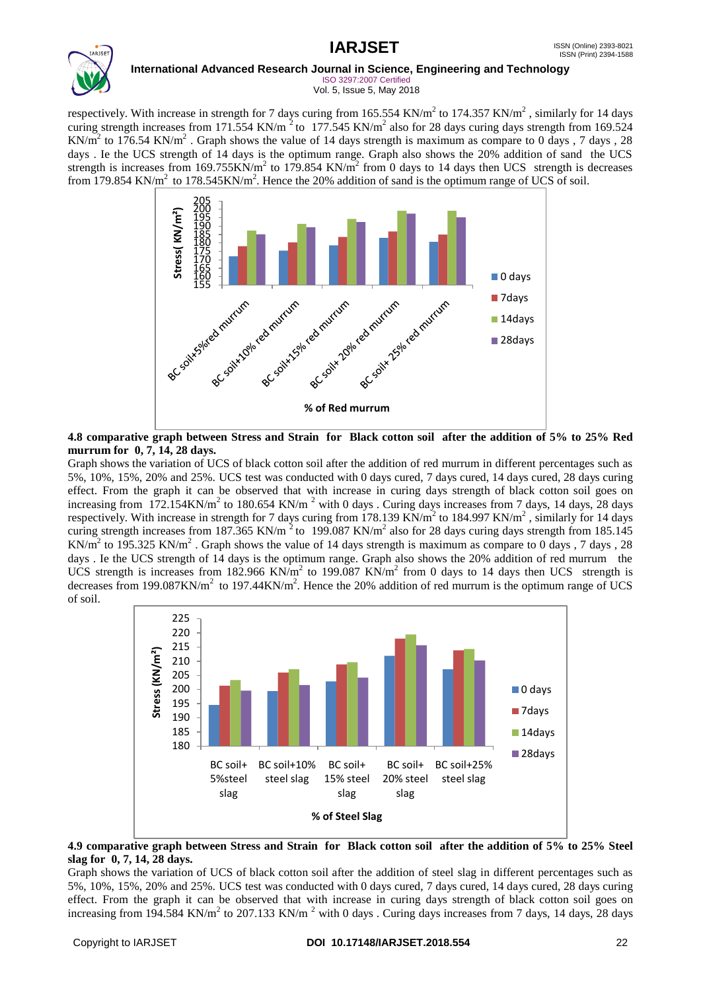### **IARJSET** ISSN (Online) 2393-8021 ISSN (Print) 2394-1588 **International Advanced Research Journal in Science, Engineering and Technology** ISO 3297:2007 Certified Vol. 5, Issue 5, May 2018

respectively. With increase in strength for 7 days curing from 165.554 KN/m<sup>2</sup> to 174.357 KN/m<sup>2</sup>, similarly for 14 days curing strength increases from 171.554 KN/m<sup>2</sup> to 177.545 KN/m<sup>2</sup> also for 28 days curing days strength from 169.524 KN/m<sup>2</sup> to 176.54 KN/m<sup>2</sup>. Graph shows the value of 14 days strength is maximum as compare to 0 days, 7 days, 28 days . Ie the UCS strength of 14 days is the optimum range. Graph also shows the 20% addition of sand the UCS strength is increases from 169.755KN/m<sup>2</sup> to 179.854 KN/m<sup>2</sup> from 0 days to 14 days then UCS strength is decreases from 179.854 KN/m<sup>2</sup> to 178.545KN/m<sup>2</sup>. Hence the 20% addition of sand is the optimum range of UCS of soil.



### **4.8 comparative graph between Stress and Strain for Black cotton soil after the addition of 5% to 25% Red murrum for 0, 7, 14, 28 days.**

Graph shows the variation of UCS of black cotton soil after the addition of red murrum in different percentages such as 5%, 10%, 15%, 20% and 25%. UCS test was conducted with 0 days cured, 7 days cured, 14 days cured, 28 days curing effect. From the graph it can be observed that with increase in curing days strength of black cotton soil goes on increasing from 172.154KN/m<sup>2</sup> to 180.654 KN/m<sup>2</sup> with 0 days . Curing days increases from 7 days, 14 days, 28 days respectively. With increase in strength for 7 days curing from 178.139 KN/m<sup>2</sup> to 184.997 KN/m<sup>2</sup>, similarly for 14 days curing strength increases from 187.365 KN/m<sup>2</sup> to 199.087 KN/m<sup>2</sup> also for 28 days curing days strength from 185.145 KN/m<sup>2</sup> to 195.325 KN/m<sup>2</sup>. Graph shows the value of 14 days strength is maximum as compare to 0 days, 7 days, 28 days . Ie the UCS strength of 14 days is the optimum range. Graph also shows the 20% addition of red murrum the UCS strength is increases from 182.966 KN/m<sup>2</sup> to 199.087 KN/m<sup>2</sup> from 0 days to 14 days then UCS strength is decreases from 199.087KN/ $m^2$  to 197.44KN/ $m^2$ . Hence the 20% addition of red murrum is the optimum range of UCS of soil.



### **4.9 comparative graph between Stress and Strain for Black cotton soil after the addition of 5% to 25% Steel slag for 0, 7, 14, 28 days.**

Graph shows the variation of UCS of black cotton soil after the addition of steel slag in different percentages such as 5%, 10%, 15%, 20% and 25%. UCS test was conducted with 0 days cured, 7 days cured, 14 days cured, 28 days curing effect. From the graph it can be observed that with increase in curing days strength of black cotton soil goes on increasing from 194.584 KN/m<sup>2</sup> to 207.133 KN/m<sup>2</sup> with 0 days . Curing days increases from 7 days, 14 days, 28 days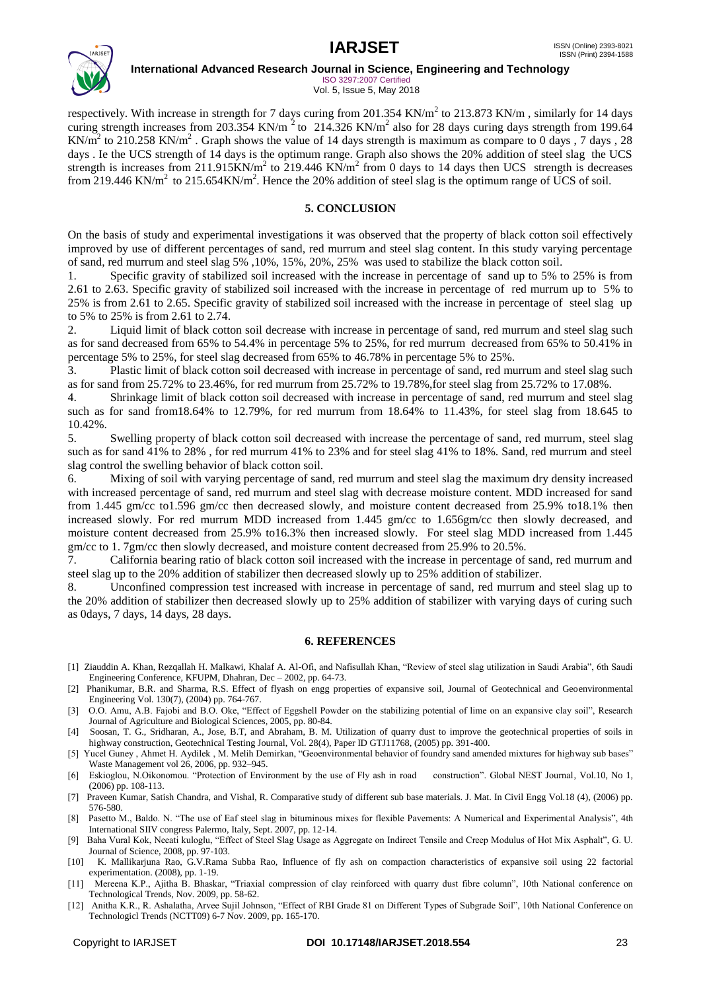

ISO 3297:2007 Certified Vol. 5, Issue 5, May 2018

respectively. With increase in strength for 7 days curing from  $201.354$  KN/m<sup>2</sup> to  $213.873$  KN/m, similarly for 14 days curing strength increases from 203.354 KN/m<sup>2</sup> to 214.326 KN/m<sup>2</sup> also for 28 days curing days strength from 199.64 KN/m<sup>2</sup> to 210.258 KN/m<sup>2</sup>. Graph shows the value of 14 days strength is maximum as compare to 0 days, 7 days, 28 days . Ie the UCS strength of 14 days is the optimum range. Graph also shows the 20% addition of steel slag the UCS strength is increases from 211.915KN/m<sup>2</sup> to 219.446 KN/m<sup>2</sup> from 0 days to 14 days then UCS strength is decreases from 219.446 KN/m<sup>2</sup> to 215.654KN/m<sup>2</sup>. Hence the 20% addition of steel slag is the optimum range of UCS of soil.

### **5. CONCLUSION**

On the basis of study and experimental investigations it was observed that the property of black cotton soil effectively improved by use of different percentages of sand, red murrum and steel slag content. In this study varying percentage of sand, red murrum and steel slag 5% ,10%, 15%, 20%, 25% was used to stabilize the black cotton soil.

1. Specific gravity of stabilized soil increased with the increase in percentage of sand up to 5% to 25% is from 2.61 to 2.63. Specific gravity of stabilized soil increased with the increase in percentage of red murrum up to 5% to 25% is from 2.61 to 2.65. Specific gravity of stabilized soil increased with the increase in percentage of steel slag up to 5% to 25% is from 2.61 to 2.74.

2. Liquid limit of black cotton soil decrease with increase in percentage of sand, red murrum and steel slag such as for sand decreased from 65% to 54.4% in percentage 5% to 25%, for red murrum decreased from 65% to 50.41% in percentage 5% to 25%, for steel slag decreased from 65% to 46.78% in percentage 5% to 25%.

3. Plastic limit of black cotton soil decreased with increase in percentage of sand, red murrum and steel slag such as for sand from 25.72% to 23.46%, for red murrum from 25.72% to 19.78%,for steel slag from 25.72% to 17.08%.

4. Shrinkage limit of black cotton soil decreased with increase in percentage of sand, red murrum and steel slag such as for sand from18.64% to 12.79%, for red murrum from 18.64% to 11.43%, for steel slag from 18.645 to 10.42%.

5. Swelling property of black cotton soil decreased with increase the percentage of sand, red murrum, steel slag such as for sand 41% to 28% , for red murrum 41% to 23% and for steel slag 41% to 18%. Sand, red murrum and steel slag control the swelling behavior of black cotton soil.

6. Mixing of soil with varying percentage of sand, red murrum and steel slag the maximum dry density increased with increased percentage of sand, red murrum and steel slag with decrease moisture content. MDD increased for sand from 1.445 gm/cc to1.596 gm/cc then decreased slowly, and moisture content decreased from 25.9% to18.1% then increased slowly. For red murrum MDD increased from 1.445 gm/cc to 1.656gm/cc then slowly decreased, and moisture content decreased from 25.9% to16.3% then increased slowly. For steel slag MDD increased from 1.445

gm/cc to 1. 7gm/cc then slowly decreased, and moisture content decreased from 25.9% to 20.5%.<br>7. California bearing ratio of black cotton soil increased with the increase in percentage of 7. California bearing ratio of black cotton soil increased with the increase in percentage of sand, red murrum and steel slag up to the 20% addition of stabilizer then decreased slowly up to 25% addition of stabilizer.

8. Unconfined compression test increased with increase in percentage of sand, red murrum and steel slag up to the 20% addition of stabilizer then decreased slowly up to 25% addition of stabilizer with varying days of curing such as 0days, 7 days, 14 days, 28 days.

### **6. REFERENCES**

- [1] Ziauddin A. Khan, Rezqallah H. Malkawi, Khalaf A. Al-Ofi, and Nafisullah Khan, "Review of steel slag utilization in Saudi Arabia", 6th Saudi Engineering Conference, KFUPM, Dhahran, Dec – 2002, pp. 64-73.
- [2] Phanikumar, B.R. and Sharma, R.S. Effect of flyash on engg properties of expansive soil, Journal of Geotechnical and Geoenvironmental Engineering Vol. 130(7), (2004) pp. 764-767.
- [3] O.O. Amu, A.B. Fajobi and B.O. Oke, "Effect of Eggshell Powder on the stabilizing potential of lime on an expansive clay soil", Research Journal of Agriculture and Biological Sciences, 2005, pp. 80-84.
- [4] Soosan, T. G., Sridharan, A., Jose, B.T, and Abraham, B. M. Utilization of quarry dust to improve the geotechnical properties of soils in highway construction, Geotechnical Testing Journal, Vol. 28(4), Paper ID GTJ11768, (2005) pp. 391-400.
- [5] Yucel Guney , Ahmet H. Aydilek , M. Melih Demirkan, "Geoenvironmental behavior of foundry sand amended mixtures for highway sub bases" Waste Management vol 26, 2006, pp. 932–945.
- [6] Eskioglou, N.Oikonomou. "Protection of Environment by the use of Fly ash in road construction". Global NEST Journal, Vol.10, No 1, (2006) pp. 108-113.
- [7] Praveen Kumar, Satish Chandra, and Vishal, R. Comparative study of different sub base materials. J. Mat. In Civil Engg Vol.18 (4), (2006) pp. 576-580.
- [8] Pasetto M., Baldo. N. "The use of Eaf steel slag in bituminous mixes for flexible Pavements: A Numerical and Experimental Analysis", 4th International SIIV congress Palermo, Italy, Sept. 2007, pp. 12-14.
- [9] Baha Vural Kok, Neeati kuloglu, "Effect of Steel Slag Usage as Aggregate on Indirect Tensile and Creep Modulus of Hot Mix Asphalt", G. U. Journal of Science, 2008, pp. 97-103.
- [10] K. Mallikarjuna Rao, G.V.Rama Subba Rao, Influence of fly ash on compaction characteristics of expansive soil using 22 factorial experimentation. (2008), pp. 1-19.
- [11] Mereena K.P., Ajitha B. Bhaskar, "Triaxial compression of clay reinforced with quarry dust fibre column", 10th National conference on Technological Trends, Nov. 2009, pp. 58-62.
- [12] Anitha K.R., R. Ashalatha, Arvee Sujil Johnson, "Effect of RBI Grade 81 on Different Types of Subgrade Soil", 10th National Conference on Technologicl Trends (NCTT09) 6-7 Nov. 2009, pp. 165-170.